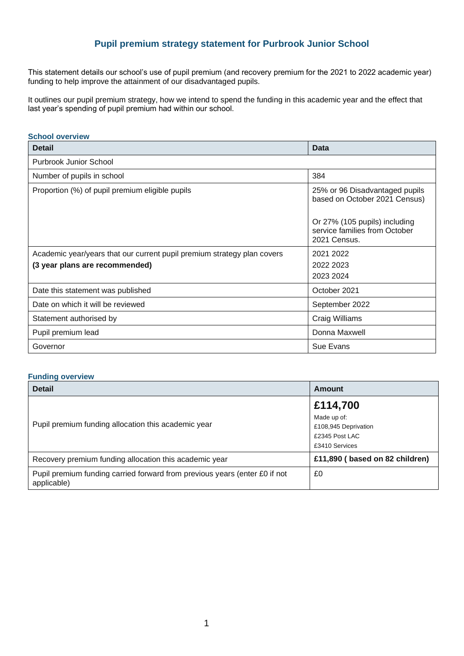# **Pupil premium strategy statement for Purbrook Junior School**

This statement details our school's use of pupil premium (and recovery premium for the 2021 to 2022 academic year) funding to help improve the attainment of our disadvantaged pupils.

It outlines our pupil premium strategy, how we intend to spend the funding in this academic year and the effect that last year's spending of pupil premium had within our school.

### **School overview**

| <b>Detail</b>                                                           | <b>Data</b>                                                                    |
|-------------------------------------------------------------------------|--------------------------------------------------------------------------------|
| Purbrook Junior School                                                  |                                                                                |
| Number of pupils in school                                              | 384                                                                            |
| Proportion (%) of pupil premium eligible pupils                         | 25% or 96 Disadvantaged pupils<br>based on October 2021 Census)                |
|                                                                         | Or 27% (105 pupils) including<br>service families from October<br>2021 Census. |
| Academic year/years that our current pupil premium strategy plan covers | 2021 2022                                                                      |
| (3 year plans are recommended)                                          | 2022 2023                                                                      |
|                                                                         | 2023 2024                                                                      |
| Date this statement was published                                       | October 2021                                                                   |
| Date on which it will be reviewed                                       | September 2022                                                                 |
| Statement authorised by                                                 | Craig Williams                                                                 |
| Pupil premium lead                                                      | Donna Maxwell                                                                  |
| Governor                                                                | Sue Evans                                                                      |

## **Funding overview**

| <b>Detail</b>                                                                             | Amount                                                                  |
|-------------------------------------------------------------------------------------------|-------------------------------------------------------------------------|
|                                                                                           | £114,700                                                                |
| Pupil premium funding allocation this academic year                                       | Made up of:<br>£108,945 Deprivation<br>£2345 Post LAC<br>£3410 Services |
| Recovery premium funding allocation this academic year                                    | £11,890 (based on 82 children)                                          |
| Pupil premium funding carried forward from previous years (enter £0 if not<br>applicable) | £0                                                                      |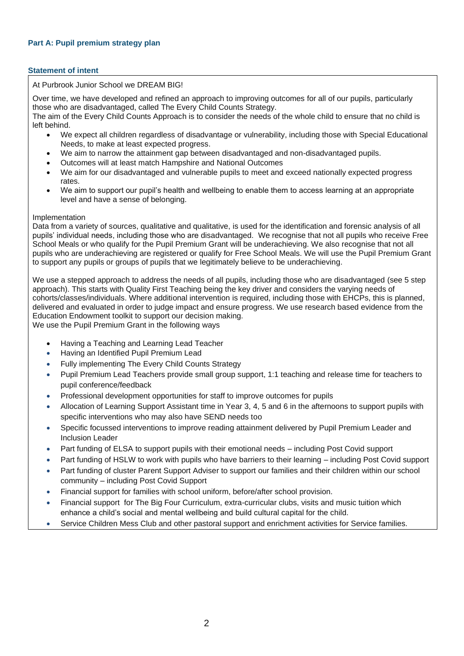## **Statement of intent**

### At Purbrook Junior School we DREAM BIG!

Over time, we have developed and refined an approach to improving outcomes for all of our pupils, particularly those who are disadvantaged, called The Every Child Counts Strategy.

The aim of the Every Child Counts Approach is to consider the needs of the whole child to ensure that no child is left behind.

- We expect all children regardless of disadvantage or vulnerability, including those with Special Educational Needs, to make at least expected progress.
- We aim to narrow the attainment gap between disadvantaged and non-disadvantaged pupils.
- Outcomes will at least match Hampshire and National Outcomes
- We aim for our disadvantaged and vulnerable pupils to meet and exceed nationally expected progress rates.
- We aim to support our pupil's health and wellbeing to enable them to access learning at an appropriate level and have a sense of belonging.

#### Implementation

Data from a variety of sources, qualitative and qualitative, is used for the identification and forensic analysis of all pupils' individual needs, including those who are disadvantaged. We recognise that not all pupils who receive Free School Meals or who qualify for the Pupil Premium Grant will be underachieving. We also recognise that not all pupils who are underachieving are registered or qualify for Free School Meals. We will use the Pupil Premium Grant to support any pupils or groups of pupils that we legitimately believe to be underachieving.

We use a stepped approach to address the needs of all pupils, including those who are disadvantaged (see 5 step approach). This starts with Quality First Teaching being the key driver and considers the varying needs of cohorts/classes/individuals. Where additional intervention is required, including those with EHCPs, this is planned, delivered and evaluated in order to judge impact and ensure progress. We use research based evidence from the Education Endowment toolkit to support our decision making. We use the Pupil Premium Grant in the following ways

- Having a Teaching and Learning Lead Teacher
- Having an Identified Pupil Premium Lead
- Fully implementing The Every Child Counts Strategy
- Pupil Premium Lead Teachers provide small group support, 1:1 teaching and release time for teachers to pupil conference/feedback
- Professional development opportunities for staff to improve outcomes for pupils
- Allocation of Learning Support Assistant time in Year 3, 4, 5 and 6 in the afternoons to support pupils with specific interventions who may also have SEND needs too
- Specific focussed interventions to improve reading attainment delivered by Pupil Premium Leader and Inclusion Leader
- Part funding of ELSA to support pupils with their emotional needs including Post Covid support
- Part funding of HSLW to work with pupils who have barriers to their learning including Post Covid support
- Part funding of cluster Parent Support Adviser to support our families and their children within our school community – including Post Covid Support
- Financial support for families with school uniform, before/after school provision.
- Financial support for The Big Four Curriculum, extra-curricular clubs, visits and music tuition which enhance a child's social and mental wellbeing and build cultural capital for the child.
- Service Children Mess Club and other pastoral support and enrichment activities for Service families.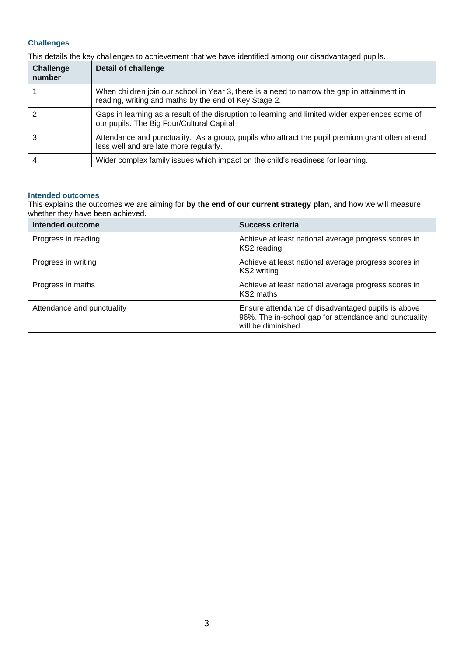# **Challenges**

This details the key challenges to achievement that we have identified among our disadvantaged pupils.

| <b>Challenge</b><br>number | <b>Detail of challenge</b>                                                                                                                           |
|----------------------------|------------------------------------------------------------------------------------------------------------------------------------------------------|
|                            | When children join our school in Year 3, there is a need to narrow the gap in attainment in<br>reading, writing and maths by the end of Key Stage 2. |
|                            | Gaps in learning as a result of the disruption to learning and limited wider experiences some of<br>our pupils. The Big Four/Cultural Capital        |
|                            | Attendance and punctuality. As a group, pupils who attract the pupil premium grant often attend<br>less well and are late more regularly.            |
|                            | Wider complex family issues which impact on the child's readiness for learning.                                                                      |

#### **Intended outcomes**

This explains the outcomes we are aiming for **by the end of our current strategy plan**, and how we will measure whether they have been achieved.

| Intended outcome           | Success criteria                                                                                                                   |
|----------------------------|------------------------------------------------------------------------------------------------------------------------------------|
| Progress in reading        | Achieve at least national average progress scores in<br>KS2 reading                                                                |
| Progress in writing        | Achieve at least national average progress scores in<br>KS2 writing                                                                |
| Progress in maths          | Achieve at least national average progress scores in<br>KS2 maths                                                                  |
| Attendance and punctuality | Ensure attendance of disadvantaged pupils is above<br>96%. The in-school gap for attendance and punctuality<br>will be diminished. |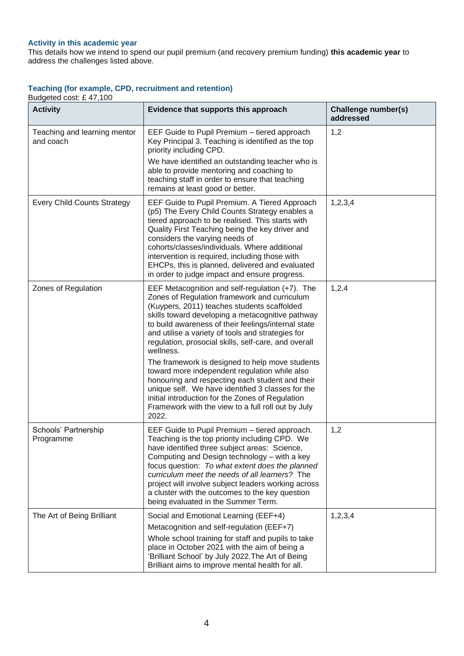# **Activity in this academic year**

This details how we intend to spend our pupil premium (and recovery premium funding) **this academic year** to address the challenges listed above.

## **Teaching (for example, CPD, recruitment and retention)**

Budgeted cost: £ 47,100

| <b>Activity</b>                           | Evidence that supports this approach                                                                                                                                                                                                                                                                                                                                                                                                                                                                                                                                                                                                                                                                               | Challenge number(s)<br>addressed |
|-------------------------------------------|--------------------------------------------------------------------------------------------------------------------------------------------------------------------------------------------------------------------------------------------------------------------------------------------------------------------------------------------------------------------------------------------------------------------------------------------------------------------------------------------------------------------------------------------------------------------------------------------------------------------------------------------------------------------------------------------------------------------|----------------------------------|
| Teaching and learning mentor<br>and coach | EEF Guide to Pupil Premium - tiered approach<br>Key Principal 3. Teaching is identified as the top<br>priority including CPD.<br>We have identified an outstanding teacher who is<br>able to provide mentoring and coaching to<br>teaching staff in order to ensure that teaching<br>remains at least good or better.                                                                                                                                                                                                                                                                                                                                                                                              | 1,2                              |
| <b>Every Child Counts Strategy</b>        | EEF Guide to Pupil Premium. A Tiered Approach<br>(p5) The Every Child Counts Strategy enables a<br>tiered approach to be realised. This starts with<br>Quality First Teaching being the key driver and<br>considers the varying needs of<br>cohorts/classes/individuals. Where additional<br>intervention is required, including those with<br>EHCPs, this is planned, delivered and evaluated<br>in order to judge impact and ensure progress.                                                                                                                                                                                                                                                                    | 1, 2, 3, 4                       |
| Zones of Regulation                       | EEF Metacognition and self-regulation (+7). The<br>Zones of Regulation framework and curriculum<br>(Kuypers, 2011) teaches students scaffolded<br>skills toward developing a metacognitive pathway<br>to build awareness of their feelings/internal state<br>and utilise a variety of tools and strategies for<br>regulation, prosocial skills, self-care, and overall<br>wellness.<br>The framework is designed to help move students<br>toward more independent regulation while also<br>honouring and respecting each student and their<br>unique self. We have identified 3 classes for the<br>initial introduction for the Zones of Regulation<br>Framework with the view to a full roll out by July<br>2022. | 1, 2, 4                          |
| Schools' Partnership<br>Programme         | EEF Guide to Pupil Premium - tiered approach.<br>Teaching is the top priority including CPD. We<br>have identified three subject areas: Science,<br>Computing and Design technology - with a key<br>focus question: To what extent does the planned<br>curriculum meet the needs of all learners? The<br>project will involve subject leaders working across<br>a cluster with the outcomes to the key question<br>being evaluated in the Summer Term.                                                                                                                                                                                                                                                             | 1,2                              |
| The Art of Being Brilliant                | Social and Emotional Learning (EEF+4)<br>Metacognition and self-regulation (EEF+7)<br>Whole school training for staff and pupils to take<br>place in October 2021 with the aim of being a<br>'Brilliant School' by July 2022. The Art of Being<br>Brilliant aims to improve mental health for all.                                                                                                                                                                                                                                                                                                                                                                                                                 | 1, 2, 3, 4                       |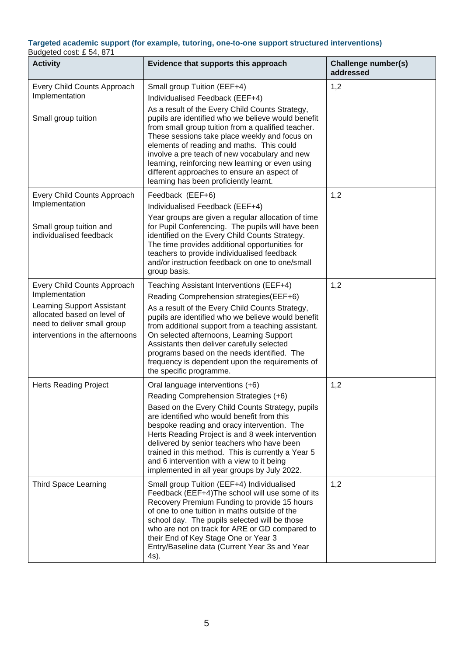#### **Targeted academic support (for example, tutoring, one-to-one support structured interventions)**  Budgeted cost: £ 54, 871

| 38.8<br><b>Activity</b>                                                                                                     | Evidence that supports this approach                                                                                                                                                                                                                                                                                                                                                                                                                                             | Challenge number(s)<br>addressed |
|-----------------------------------------------------------------------------------------------------------------------------|----------------------------------------------------------------------------------------------------------------------------------------------------------------------------------------------------------------------------------------------------------------------------------------------------------------------------------------------------------------------------------------------------------------------------------------------------------------------------------|----------------------------------|
| Every Child Counts Approach<br>Implementation                                                                               | Small group Tuition (EEF+4)<br>Individualised Feedback (EEF+4)                                                                                                                                                                                                                                                                                                                                                                                                                   | 1,2                              |
| Small group tuition                                                                                                         | As a result of the Every Child Counts Strategy,<br>pupils are identified who we believe would benefit<br>from small group tuition from a qualified teacher.<br>These sessions take place weekly and focus on<br>elements of reading and maths. This could<br>involve a pre teach of new vocabulary and new<br>learning, reinforcing new learning or even using<br>different approaches to ensure an aspect of<br>learning has been proficiently learnt.                          |                                  |
| Every Child Counts Approach<br>Implementation                                                                               | Feedback (EEF+6)<br>Individualised Feedback (EEF+4)                                                                                                                                                                                                                                                                                                                                                                                                                              | 1,2                              |
| Small group tuition and<br>individualised feedback                                                                          | Year groups are given a regular allocation of time<br>for Pupil Conferencing. The pupils will have been<br>identified on the Every Child Counts Strategy.<br>The time provides additional opportunities for<br>teachers to provide individualised feedback<br>and/or instruction feedback on one to one/small<br>group basis.                                                                                                                                                    |                                  |
| Every Child Counts Approach<br>Implementation                                                                               | Teaching Assistant Interventions (EEF+4)                                                                                                                                                                                                                                                                                                                                                                                                                                         | 1,2                              |
| Learning Support Assistant<br>allocated based on level of<br>need to deliver small group<br>interventions in the afternoons | Reading Comprehension strategies (EEF+6)<br>As a result of the Every Child Counts Strategy,<br>pupils are identified who we believe would benefit<br>from additional support from a teaching assistant.<br>On selected afternoons, Learning Support<br>Assistants then deliver carefully selected<br>programs based on the needs identified. The<br>frequency is dependent upon the requirements of<br>the specific programme.                                                   |                                  |
| <b>Herts Reading Project</b>                                                                                                | Oral language interventions (+6)<br>Reading Comprehension Strategies (+6)<br>Based on the Every Child Counts Strategy, pupils<br>are identified who would benefit from this<br>bespoke reading and oracy intervention. The<br>Herts Reading Project is and 8 week intervention<br>delivered by senior teachers who have been<br>trained in this method. This is currently a Year 5<br>and 6 intervention with a view to it being<br>implemented in all year groups by July 2022. | 1,2                              |
| <b>Third Space Learning</b>                                                                                                 | Small group Tuition (EEF+4) Individualised<br>Feedback (EEF+4) The school will use some of its<br>Recovery Premium Funding to provide 15 hours<br>of one to one tuition in maths outside of the<br>school day. The pupils selected will be those<br>who are not on track for ARE or GD compared to<br>their End of Key Stage One or Year 3<br>Entry/Baseline data (Current Year 3s and Year<br>4s).                                                                              | 1,2                              |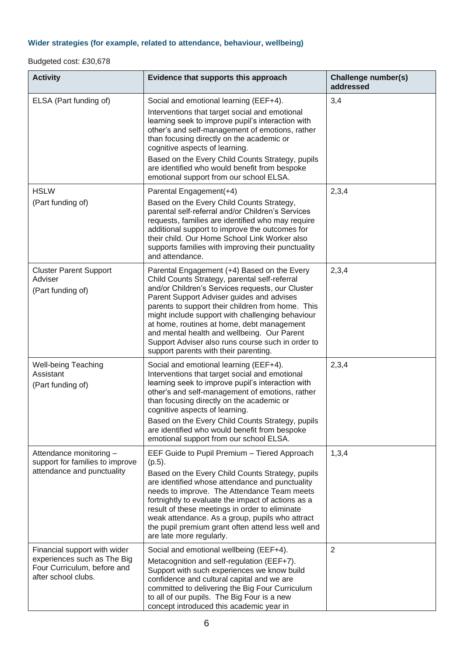# **Wider strategies (for example, related to attendance, behaviour, wellbeing)**

# Budgeted cost: £30,678

| <b>Activity</b>                                                                                                   | Evidence that supports this approach                                                                                                                                                                                                                                                                                                                                                                                                                                                              | Challenge number(s)<br>addressed |
|-------------------------------------------------------------------------------------------------------------------|---------------------------------------------------------------------------------------------------------------------------------------------------------------------------------------------------------------------------------------------------------------------------------------------------------------------------------------------------------------------------------------------------------------------------------------------------------------------------------------------------|----------------------------------|
| ELSA (Part funding of)                                                                                            | Social and emotional learning (EEF+4).<br>Interventions that target social and emotional<br>learning seek to improve pupil's interaction with<br>other's and self-management of emotions, rather<br>than focusing directly on the academic or<br>cognitive aspects of learning.<br>Based on the Every Child Counts Strategy, pupils<br>are identified who would benefit from bespoke<br>emotional support from our school ELSA.                                                                   | 3,4                              |
| <b>HSLW</b><br>(Part funding of)                                                                                  | Parental Engagement(+4)<br>Based on the Every Child Counts Strategy,<br>parental self-referral and/or Children's Services<br>requests, families are identified who may require<br>additional support to improve the outcomes for<br>their child. Our Home School Link Worker also<br>supports families with improving their punctuality<br>and attendance.                                                                                                                                        | 2,3,4                            |
| <b>Cluster Parent Support</b><br>Adviser<br>(Part funding of)                                                     | Parental Engagement (+4) Based on the Every<br>Child Counts Strategy, parental self-referral<br>and/or Children's Services requests, our Cluster<br>Parent Support Adviser guides and advises<br>parents to support their children from home. This<br>might include support with challenging behaviour<br>at home, routines at home, debt management<br>and mental health and wellbeing. Our Parent<br>Support Adviser also runs course such in order to<br>support parents with their parenting. | 2,3,4                            |
| Well-being Teaching<br>Assistant<br>(Part funding of)                                                             | Social and emotional learning (EEF+4).<br>Interventions that target social and emotional<br>learning seek to improve pupil's interaction with<br>other's and self-management of emotions, rather<br>than focusing directly on the academic or<br>cognitive aspects of learning.<br>Based on the Every Child Counts Strategy, pupils<br>are identified who would benefit from bespoke<br>emotional support from our school ELSA.                                                                   | 2,3,4                            |
| Attendance monitoring -<br>support for families to improve<br>attendance and punctuality                          | EEF Guide to Pupil Premium - Tiered Approach<br>$(p.5)$ .<br>Based on the Every Child Counts Strategy, pupils<br>are identified whose attendance and punctuality<br>needs to improve. The Attendance Team meets<br>fortnightly to evaluate the impact of actions as a<br>result of these meetings in order to eliminate<br>weak attendance. As a group, pupils who attract<br>the pupil premium grant often attend less well and<br>are late more regularly.                                      | 1,3,4                            |
| Financial support with wider<br>experiences such as The Big<br>Four Curriculum, before and<br>after school clubs. | Social and emotional wellbeing (EEF+4).<br>Metacognition and self-regulation (EEF+7).<br>Support with such experiences we know build<br>confidence and cultural capital and we are<br>committed to delivering the Big Four Curriculum<br>to all of our pupils. The Big Four is a new<br>concept introduced this academic year in                                                                                                                                                                  | $\overline{2}$                   |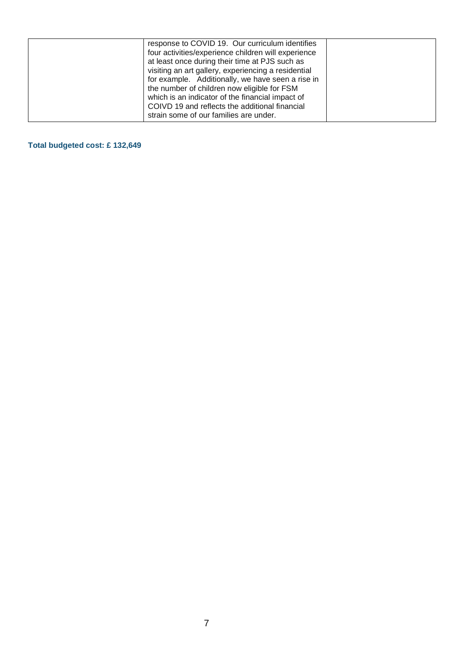| response to COVID 19. Our curriculum identifies<br>four activities/experience children will experience<br>at least once during their time at PJS such as<br>visiting an art gallery, experiencing a residential<br>for example. Additionally, we have seen a rise in<br>the number of children now eligible for FSM<br>which is an indicator of the financial impact of<br>COIVD 19 and reflects the additional financial |  |
|---------------------------------------------------------------------------------------------------------------------------------------------------------------------------------------------------------------------------------------------------------------------------------------------------------------------------------------------------------------------------------------------------------------------------|--|
| strain some of our families are under.                                                                                                                                                                                                                                                                                                                                                                                    |  |

# **Total budgeted cost: £ 132,649**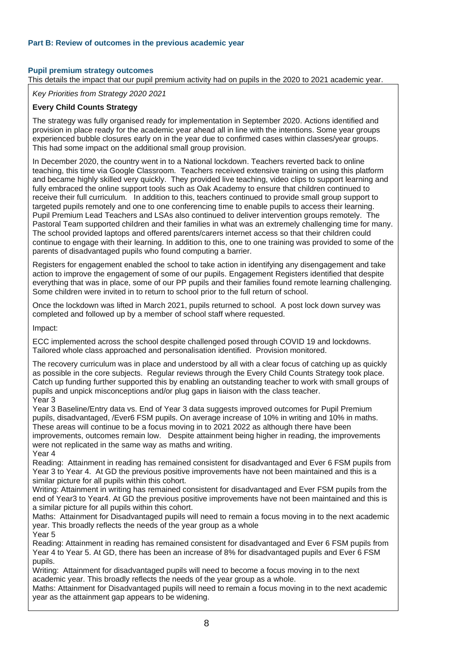# **Pupil premium strategy outcomes**

This details the impact that our pupil premium activity had on pupils in the 2020 to 2021 academic year.

*Key Priorities from Strategy 2020 2021*

### **Every Child Counts Strategy**

The strategy was fully organised ready for implementation in September 2020. Actions identified and provision in place ready for the academic year ahead all in line with the intentions. Some year groups experienced bubble closures early on in the year due to confirmed cases within classes/year groups. This had some impact on the additional small group provision.

In December 2020, the country went in to a National lockdown. Teachers reverted back to online teaching, this time via Google Classroom. Teachers received extensive training on using this platform and became highly skilled very quickly. They provided live teaching, video clips to support learning and fully embraced the online support tools such as Oak Academy to ensure that children continued to receive their full curriculum. In addition to this, teachers continued to provide small group support to targeted pupils remotely and one to one conferencing time to enable pupils to access their learning. Pupil Premium Lead Teachers and LSAs also continued to deliver intervention groups remotely. The Pastoral Team supported children and their families in what was an extremely challenging time for many. The school provided laptops and offered parents/carers internet access so that their children could continue to engage with their learning. In addition to this, one to one training was provided to some of the parents of disadvantaged pupils who found computing a barrier.

Registers for engagement enabled the school to take action in identifying any disengagement and take action to improve the engagement of some of our pupils. Engagement Registers identified that despite everything that was in place, some of our PP pupils and their families found remote learning challenging. Some children were invited in to return to school prior to the full return of school.

Once the lockdown was lifted in March 2021, pupils returned to school. A post lock down survey was completed and followed up by a member of school staff where requested.

Impact:

ECC implemented across the school despite challenged posed through COVID 19 and lockdowns. Tailored whole class approached and personalisation identified. Provision monitored.

The recovery curriculum was in place and understood by all with a clear focus of catching up as quickly as possible in the core subjects. Regular reviews through the Every Child Counts Strategy took place. Catch up funding further supported this by enabling an outstanding teacher to work with small groups of pupils and unpick misconceptions and/or plug gaps in liaison with the class teacher. Year 3

Year 3 Baseline/Entry data vs. End of Year 3 data suggests improved outcomes for Pupil Premium pupils, disadvantaged, /Ever6 FSM pupils. On average increase of 10% in writing and 10% in maths. These areas will continue to be a focus moving in to 2021 2022 as although there have been improvements, outcomes remain low. Despite attainment being higher in reading, the improvements were not replicated in the same way as maths and writing. Year 4

Reading: Attainment in reading has remained consistent for disadvantaged and Ever 6 FSM pupils from Year 3 to Year 4. At GD the previous positive improvements have not been maintained and this is a similar picture for all pupils within this cohort.

Writing: Attainment in writing has remained consistent for disadvantaged and Ever FSM pupils from the end of Year3 to Year4. At GD the previous positive improvements have not been maintained and this is a similar picture for all pupils within this cohort.

Maths: Attainment for Disadvantaged pupils will need to remain a focus moving in to the next academic year. This broadly reflects the needs of the year group as a whole Year 5

Reading: Attainment in reading has remained consistent for disadvantaged and Ever 6 FSM pupils from Year 4 to Year 5. At GD, there has been an increase of 8% for disadvantaged pupils and Ever 6 FSM pupils.

Writing: Attainment for disadvantaged pupils will need to become a focus moving in to the next academic year. This broadly reflects the needs of the year group as a whole.

Maths: Attainment for Disadvantaged pupils will need to remain a focus moving in to the next academic year as the attainment gap appears to be widening.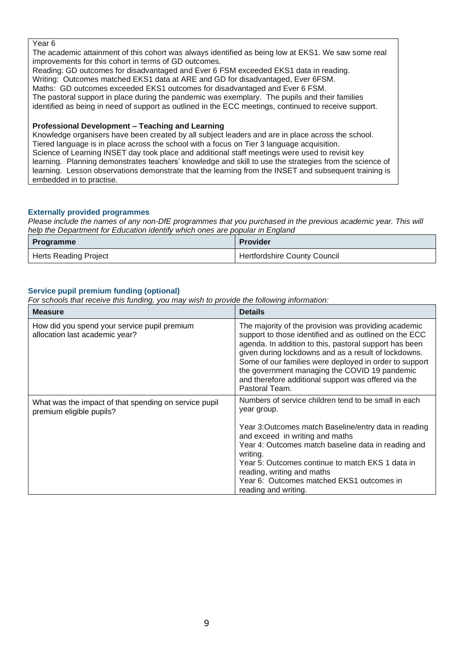### Year 6

The academic attainment of this cohort was always identified as being low at EKS1. We saw some real improvements for this cohort in terms of GD outcomes.

Reading: GD outcomes for disadvantaged and Ever 6 FSM exceeded EKS1 data in reading. Writing: Outcomes matched EKS1 data at ARE and GD for disadvantaged, Ever 6FSM. Maths: GD outcomes exceeded EKS1 outcomes for disadvantaged and Ever 6 FSM. The pastoral support in place during the pandemic was exemplary. The pupils and their families

identified as being in need of support as outlined in the ECC meetings, continued to receive support.

## **Professional Development – Teaching and Learning**

Knowledge organisers have been created by all subject leaders and are in place across the school. Tiered language is in place across the school with a focus on Tier 3 language acquisition. Science of Learning INSET day took place and additional staff meetings were used to revisit key learning. Planning demonstrates teachers' knowledge and skill to use the strategies from the science of learning. Lesson observations demonstrate that the learning from the INSET and subsequent training is embedded in to practise.

### **Externally provided programmes**

*Please include the names of any non-DfE programmes that you purchased in the previous academic year. This will help the Department for Education identify which ones are popular in England*

| <b>Programme</b>             | <b>Provider</b>                     |
|------------------------------|-------------------------------------|
| <b>Herts Reading Project</b> | <b>Hertfordshire County Council</b> |

### **Service pupil premium funding (optional)**

*For schools that receive this funding, you may wish to provide the following information:* 

| <b>Measure</b>                                                                    | <b>Details</b>                                                                                                                                                                                                                                                                                                                                                                                                        |
|-----------------------------------------------------------------------------------|-----------------------------------------------------------------------------------------------------------------------------------------------------------------------------------------------------------------------------------------------------------------------------------------------------------------------------------------------------------------------------------------------------------------------|
| How did you spend your service pupil premium<br>allocation last academic year?    | The majority of the provision was providing academic<br>support to those identified and as outlined on the ECC<br>agenda. In addition to this, pastoral support has been<br>given during lockdowns and as a result of lockdowns.<br>Some of our families were deployed in order to support<br>the government managing the COVID 19 pandemic<br>and therefore additional support was offered via the<br>Pastoral Team. |
| What was the impact of that spending on service pupil<br>premium eligible pupils? | Numbers of service children tend to be small in each<br>year group.<br>Year 3: Outcomes match Baseline/entry data in reading<br>and exceed in writing and maths<br>Year 4: Outcomes match baseline data in reading and<br>writing.<br>Year 5: Outcomes continue to match EKS 1 data in<br>reading, writing and maths<br>Year 6: Outcomes matched EKS1 outcomes in<br>reading and writing.                             |